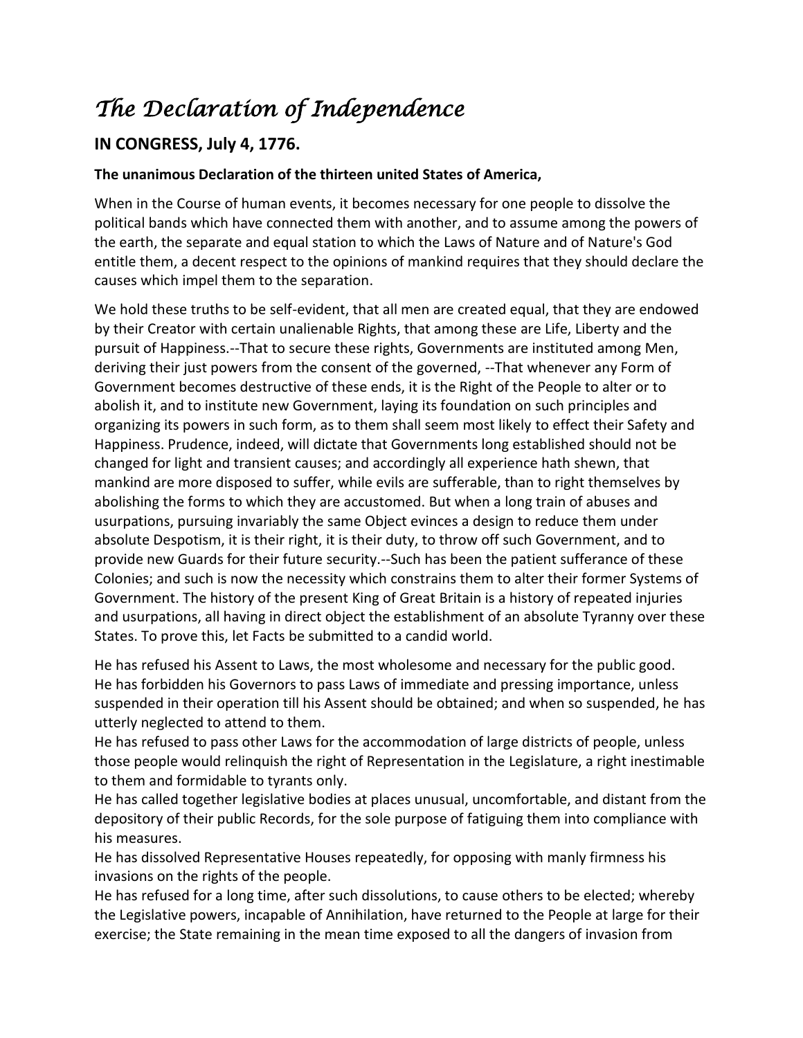## *The Declaration of Independence*

## **IN CONGRESS, July 4, 1776.**

## **The unanimous Declaration of the thirteen united States of America,**

When in the Course of human events, it becomes necessary for one people to dissolve the political bands which have connected them with another, and to assume among the powers of the earth, the separate and equal station to which the Laws of Nature and of Nature's God entitle them, a decent respect to the opinions of mankind requires that they should declare the causes which impel them to the separation.

We hold these truths to be self-evident, that all men are created equal, that they are endowed by their Creator with certain unalienable Rights, that among these are Life, Liberty and the pursuit of Happiness.--That to secure these rights, Governments are instituted among Men, deriving their just powers from the consent of the governed, --That whenever any Form of Government becomes destructive of these ends, it is the Right of the People to alter or to abolish it, and to institute new Government, laying its foundation on such principles and organizing its powers in such form, as to them shall seem most likely to effect their Safety and Happiness. Prudence, indeed, will dictate that Governments long established should not be changed for light and transient causes; and accordingly all experience hath shewn, that mankind are more disposed to suffer, while evils are sufferable, than to right themselves by abolishing the forms to which they are accustomed. But when a long train of abuses and usurpations, pursuing invariably the same Object evinces a design to reduce them under absolute Despotism, it is their right, it is their duty, to throw off such Government, and to provide new Guards for their future security.--Such has been the patient sufferance of these Colonies; and such is now the necessity which constrains them to alter their former Systems of Government. The history of the present King of Great Britain is a history of repeated injuries and usurpations, all having in direct object the establishment of an absolute Tyranny over these States. To prove this, let Facts be submitted to a candid world.

He has refused his Assent to Laws, the most wholesome and necessary for the public good. He has forbidden his Governors to pass Laws of immediate and pressing importance, unless suspended in their operation till his Assent should be obtained; and when so suspended, he has utterly neglected to attend to them.

He has refused to pass other Laws for the accommodation of large districts of people, unless those people would relinquish the right of Representation in the Legislature, a right inestimable to them and formidable to tyrants only.

He has called together legislative bodies at places unusual, uncomfortable, and distant from the depository of their public Records, for the sole purpose of fatiguing them into compliance with his measures.

He has dissolved Representative Houses repeatedly, for opposing with manly firmness his invasions on the rights of the people.

He has refused for a long time, after such dissolutions, to cause others to be elected; whereby the Legislative powers, incapable of Annihilation, have returned to the People at large for their exercise; the State remaining in the mean time exposed to all the dangers of invasion from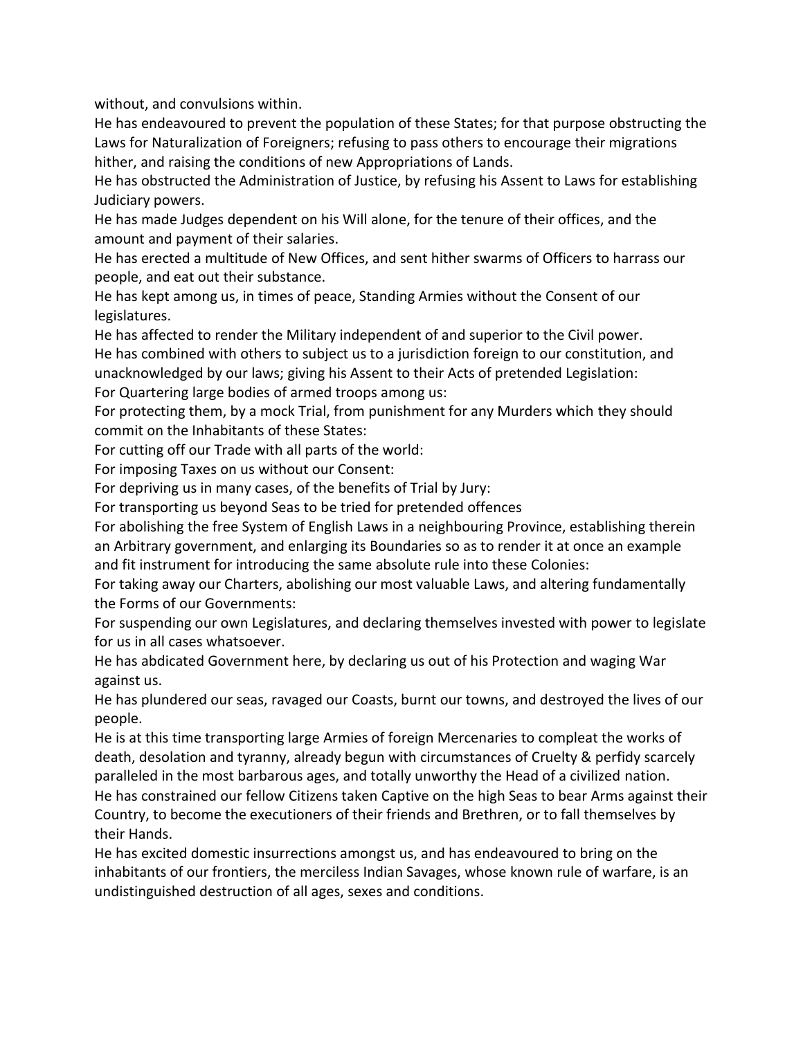without, and convulsions within.

He has endeavoured to prevent the population of these States; for that purpose obstructing the Laws for Naturalization of Foreigners; refusing to pass others to encourage their migrations hither, and raising the conditions of new Appropriations of Lands.

He has obstructed the Administration of Justice, by refusing his Assent to Laws for establishing Judiciary powers.

He has made Judges dependent on his Will alone, for the tenure of their offices, and the amount and payment of their salaries.

He has erected a multitude of New Offices, and sent hither swarms of Officers to harrass our people, and eat out their substance.

He has kept among us, in times of peace, Standing Armies without the Consent of our legislatures.

He has affected to render the Military independent of and superior to the Civil power. He has combined with others to subject us to a jurisdiction foreign to our constitution, and unacknowledged by our laws; giving his Assent to their Acts of pretended Legislation: For Quartering large bodies of armed troops among us:

For protecting them, by a mock Trial, from punishment for any Murders which they should commit on the Inhabitants of these States:

For cutting off our Trade with all parts of the world:

For imposing Taxes on us without our Consent:

For depriving us in many cases, of the benefits of Trial by Jury:

For transporting us beyond Seas to be tried for pretended offences

For abolishing the free System of English Laws in a neighbouring Province, establishing therein an Arbitrary government, and enlarging its Boundaries so as to render it at once an example and fit instrument for introducing the same absolute rule into these Colonies:

For taking away our Charters, abolishing our most valuable Laws, and altering fundamentally the Forms of our Governments:

For suspending our own Legislatures, and declaring themselves invested with power to legislate for us in all cases whatsoever.

He has abdicated Government here, by declaring us out of his Protection and waging War against us.

He has plundered our seas, ravaged our Coasts, burnt our towns, and destroyed the lives of our people.

He is at this time transporting large Armies of foreign Mercenaries to compleat the works of death, desolation and tyranny, already begun with circumstances of Cruelty & perfidy scarcely paralleled in the most barbarous ages, and totally unworthy the Head of a civilized nation. He has constrained our fellow Citizens taken Captive on the high Seas to bear Arms against their Country, to become the executioners of their friends and Brethren, or to fall themselves by their Hands.

He has excited domestic insurrections amongst us, and has endeavoured to bring on the inhabitants of our frontiers, the merciless Indian Savages, whose known rule of warfare, is an undistinguished destruction of all ages, sexes and conditions.